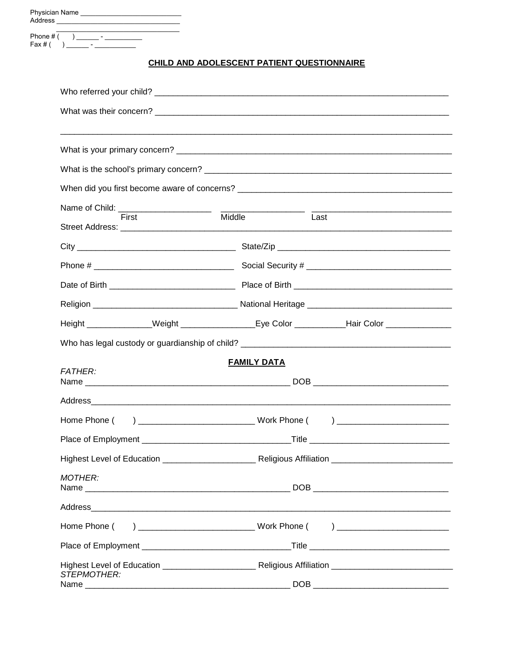| $\text{Fax #}()$ |                                            |                                                                                             |  |  |  |  |  |  |  |  |  |  |
|------------------|--------------------------------------------|---------------------------------------------------------------------------------------------|--|--|--|--|--|--|--|--|--|--|
|                  | CHILD AND ADOLESCENT PATIENT QUESTIONNAIRE |                                                                                             |  |  |  |  |  |  |  |  |  |  |
|                  |                                            |                                                                                             |  |  |  |  |  |  |  |  |  |  |
|                  |                                            |                                                                                             |  |  |  |  |  |  |  |  |  |  |
|                  |                                            |                                                                                             |  |  |  |  |  |  |  |  |  |  |
|                  |                                            |                                                                                             |  |  |  |  |  |  |  |  |  |  |
|                  |                                            |                                                                                             |  |  |  |  |  |  |  |  |  |  |
|                  |                                            |                                                                                             |  |  |  |  |  |  |  |  |  |  |
|                  | Name of Child: _________________________   |                                                                                             |  |  |  |  |  |  |  |  |  |  |
|                  | First                                      | Middle<br>Last                                                                              |  |  |  |  |  |  |  |  |  |  |
|                  |                                            |                                                                                             |  |  |  |  |  |  |  |  |  |  |
|                  |                                            |                                                                                             |  |  |  |  |  |  |  |  |  |  |
|                  |                                            |                                                                                             |  |  |  |  |  |  |  |  |  |  |
|                  |                                            |                                                                                             |  |  |  |  |  |  |  |  |  |  |
|                  |                                            | Height ______________Weight ________________Eye Color ___________Hair Color _______________ |  |  |  |  |  |  |  |  |  |  |
|                  |                                            |                                                                                             |  |  |  |  |  |  |  |  |  |  |
|                  | <b>FATHER:</b>                             | <b>FAMILY DATA</b>                                                                          |  |  |  |  |  |  |  |  |  |  |
|                  |                                            |                                                                                             |  |  |  |  |  |  |  |  |  |  |
|                  |                                            |                                                                                             |  |  |  |  |  |  |  |  |  |  |
|                  |                                            |                                                                                             |  |  |  |  |  |  |  |  |  |  |
|                  |                                            |                                                                                             |  |  |  |  |  |  |  |  |  |  |
|                  |                                            |                                                                                             |  |  |  |  |  |  |  |  |  |  |
|                  | <b>MOTHER:</b>                             |                                                                                             |  |  |  |  |  |  |  |  |  |  |
|                  |                                            |                                                                                             |  |  |  |  |  |  |  |  |  |  |
|                  |                                            |                                                                                             |  |  |  |  |  |  |  |  |  |  |
|                  |                                            |                                                                                             |  |  |  |  |  |  |  |  |  |  |
|                  |                                            |                                                                                             |  |  |  |  |  |  |  |  |  |  |
|                  | STEPMOTHER:                                |                                                                                             |  |  |  |  |  |  |  |  |  |  |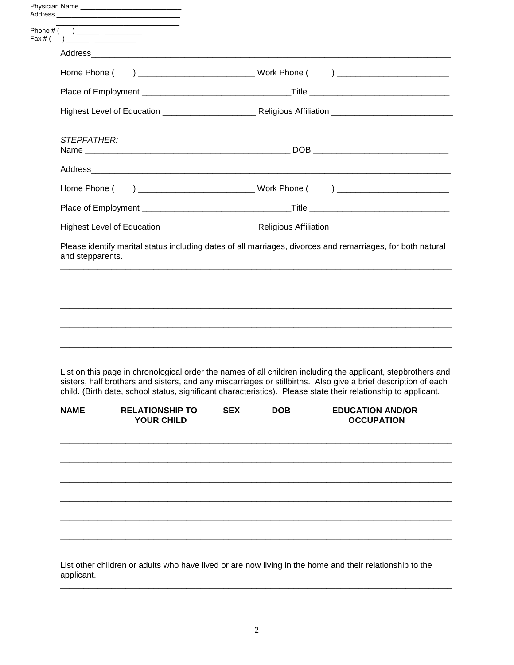|                                  | the control of the control of the control of the control of the control of |                                                                                                                                                                                                                                                                                                                                                  |                                              |
|----------------------------------|----------------------------------------------------------------------------|--------------------------------------------------------------------------------------------------------------------------------------------------------------------------------------------------------------------------------------------------------------------------------------------------------------------------------------------------|----------------------------------------------|
| Fax # ( ) _______ - ____________ |                                                                            |                                                                                                                                                                                                                                                                                                                                                  |                                              |
|                                  |                                                                            |                                                                                                                                                                                                                                                                                                                                                  |                                              |
|                                  |                                                                            |                                                                                                                                                                                                                                                                                                                                                  |                                              |
|                                  |                                                                            |                                                                                                                                                                                                                                                                                                                                                  |                                              |
|                                  |                                                                            |                                                                                                                                                                                                                                                                                                                                                  |                                              |
| STEPFATHER:                      |                                                                            |                                                                                                                                                                                                                                                                                                                                                  |                                              |
|                                  |                                                                            |                                                                                                                                                                                                                                                                                                                                                  |                                              |
|                                  |                                                                            |                                                                                                                                                                                                                                                                                                                                                  |                                              |
|                                  |                                                                            |                                                                                                                                                                                                                                                                                                                                                  |                                              |
|                                  |                                                                            |                                                                                                                                                                                                                                                                                                                                                  |                                              |
|                                  |                                                                            |                                                                                                                                                                                                                                                                                                                                                  |                                              |
|                                  |                                                                            | List on this page in chronological order the names of all children including the applicant, stepbrothers and<br>sisters, half brothers and sisters, and any miscarriages or stillbirths. Also give a brief description of each<br>child. (Birth date, school status, significant characteristics). Please state their relationship to applicant. |                                              |
| <b>NAME</b>                      | <b>RELATIONSHIP TO</b><br><b>YOUR CHILD</b>                                | <b>SEX</b><br><b>DOB</b>                                                                                                                                                                                                                                                                                                                         | <b>EDUCATION AND/OR</b><br><b>OCCUPATION</b> |
|                                  |                                                                            |                                                                                                                                                                                                                                                                                                                                                  |                                              |
|                                  |                                                                            |                                                                                                                                                                                                                                                                                                                                                  |                                              |

2

\_\_\_\_\_\_\_\_\_\_\_\_\_\_\_\_\_\_\_\_\_\_\_\_\_\_\_\_\_\_\_\_\_\_\_\_\_\_\_\_\_\_\_\_\_\_\_\_\_\_\_\_\_\_\_\_\_\_\_\_\_\_\_\_\_\_\_\_\_\_\_\_\_\_\_\_\_\_\_\_\_\_\_\_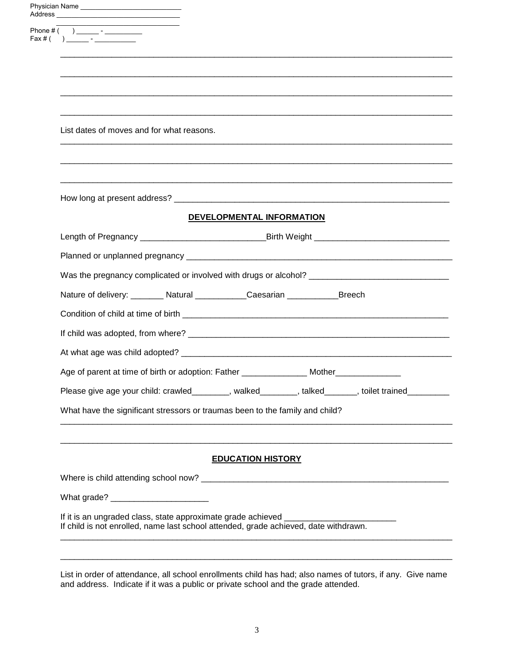|  | Physician Name _________________________________                                                     |  |  |  |  |  |  |  |  |
|--|------------------------------------------------------------------------------------------------------|--|--|--|--|--|--|--|--|
|  |                                                                                                      |  |  |  |  |  |  |  |  |
|  |                                                                                                      |  |  |  |  |  |  |  |  |
|  |                                                                                                      |  |  |  |  |  |  |  |  |
|  |                                                                                                      |  |  |  |  |  |  |  |  |
|  |                                                                                                      |  |  |  |  |  |  |  |  |
|  | List dates of moves and for what reasons.                                                            |  |  |  |  |  |  |  |  |
|  |                                                                                                      |  |  |  |  |  |  |  |  |
|  |                                                                                                      |  |  |  |  |  |  |  |  |
|  |                                                                                                      |  |  |  |  |  |  |  |  |
|  | DEVELOPMENTAL INFORMATION                                                                            |  |  |  |  |  |  |  |  |
|  | Length of Pregnancy ___________________________________Birth Weight _______________________________  |  |  |  |  |  |  |  |  |
|  | Was the pregnancy complicated or involved with drugs or alcohol? __________________________________  |  |  |  |  |  |  |  |  |
|  |                                                                                                      |  |  |  |  |  |  |  |  |
|  | Nature of delivery: ________ Natural ____________Caesarian ______________Breech                      |  |  |  |  |  |  |  |  |
|  |                                                                                                      |  |  |  |  |  |  |  |  |
|  |                                                                                                      |  |  |  |  |  |  |  |  |
|  |                                                                                                      |  |  |  |  |  |  |  |  |
|  | Age of parent at time of birth or adoption: Father ____________________Mother_______________________ |  |  |  |  |  |  |  |  |
|  | Please give age your child: crawled_________, walked_______, talked______, toilet trained_________   |  |  |  |  |  |  |  |  |
|  | What have the significant stressors or traumas been to the family and child?                         |  |  |  |  |  |  |  |  |
|  |                                                                                                      |  |  |  |  |  |  |  |  |
|  |                                                                                                      |  |  |  |  |  |  |  |  |
|  | <b>EDUCATION HISTORY</b>                                                                             |  |  |  |  |  |  |  |  |
|  |                                                                                                      |  |  |  |  |  |  |  |  |
|  | If it is an ungraded class, state approximate grade achieved _________                               |  |  |  |  |  |  |  |  |
|  | If child is not enrolled, name last school attended, grade achieved, date withdrawn.                 |  |  |  |  |  |  |  |  |

List in order of attendance, all school enrollments child has had; also names of tutors, if any. Give name and address. Indicate if it was a public or private school and the grade attended.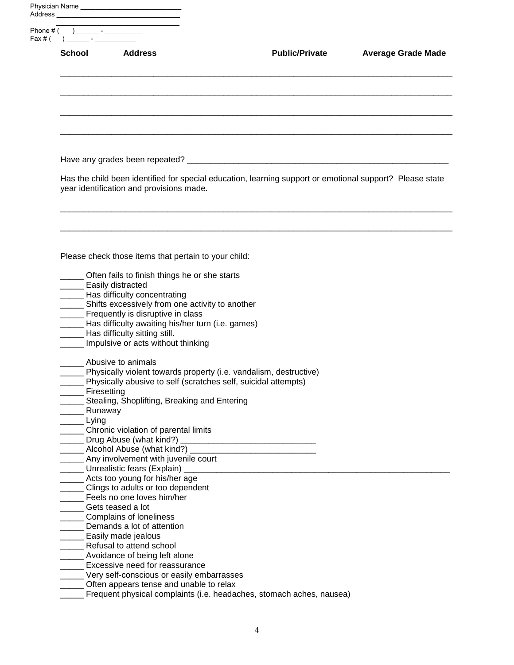|                       | School Address                                                                                    | <b>Public/Private</b>                                                                                                                  | <b>Average Grade Made</b> |
|-----------------------|---------------------------------------------------------------------------------------------------|----------------------------------------------------------------------------------------------------------------------------------------|---------------------------|
|                       |                                                                                                   |                                                                                                                                        |                           |
|                       |                                                                                                   |                                                                                                                                        |                           |
|                       |                                                                                                   |                                                                                                                                        |                           |
|                       | year identification and provisions made.                                                          | Has the child been identified for special education, learning support or emotional support? Please state                               |                           |
|                       |                                                                                                   |                                                                                                                                        |                           |
|                       | Please check those items that pertain to your child:                                              |                                                                                                                                        |                           |
|                       | __ Often fails to finish things he or she starts<br>____ Easily distracted                        |                                                                                                                                        |                           |
|                       | __ Has difficulty concentrating                                                                   |                                                                                                                                        |                           |
|                       | __ Shifts excessively from one activity to another                                                |                                                                                                                                        |                           |
|                       | Frequently is disruptive in class                                                                 |                                                                                                                                        |                           |
|                       | _____ Has difficulty awaiting his/her turn (i.e. games)                                           |                                                                                                                                        |                           |
|                       | Has difficulty sitting still.                                                                     |                                                                                                                                        |                           |
|                       | Impulsive or acts without thinking                                                                |                                                                                                                                        |                           |
|                       | Abusive to animals                                                                                |                                                                                                                                        |                           |
|                       |                                                                                                   | Physically violent towards property (i.e. vandalism, destructive)<br>__ Physically abusive to self (scratches self, suicidal attempts) |                           |
| ___ Firesetting       | __ Stealing, Shoplifting, Breaking and Entering                                                   |                                                                                                                                        |                           |
| <sub>__</sub> Runaway |                                                                                                   |                                                                                                                                        |                           |
| $\equiv$ Lying        |                                                                                                   |                                                                                                                                        |                           |
|                       | ____ Chronic violation of parental limits                                                         |                                                                                                                                        |                           |
|                       |                                                                                                   |                                                                                                                                        |                           |
|                       |                                                                                                   |                                                                                                                                        |                           |
|                       | Any involvement with juvenile court                                                               |                                                                                                                                        |                           |
|                       | Unrealistic fears (Explain) _                                                                     |                                                                                                                                        |                           |
|                       | _____ Acts too young for his/her age                                                              |                                                                                                                                        |                           |
|                       | ____ Clings to adults or too dependent                                                            |                                                                                                                                        |                           |
|                       | ____ Feels no one loves him/her                                                                   |                                                                                                                                        |                           |
|                       | ____ Gets teased a lot                                                                            |                                                                                                                                        |                           |
|                       | ___ Complains of loneliness                                                                       |                                                                                                                                        |                           |
|                       | __ Demands a lot of attention                                                                     |                                                                                                                                        |                           |
|                       | <b>Easily made jealous</b>                                                                        |                                                                                                                                        |                           |
|                       | ____ Refusal to attend school                                                                     |                                                                                                                                        |                           |
|                       | Avoidance of being left alone<br>______ Excessive need for reassurance                            |                                                                                                                                        |                           |
|                       |                                                                                                   |                                                                                                                                        |                           |
|                       |                                                                                                   |                                                                                                                                        |                           |
|                       | _____ Very self-conscious or easily embarrasses<br>______ Often appears tense and unable to relax |                                                                                                                                        |                           |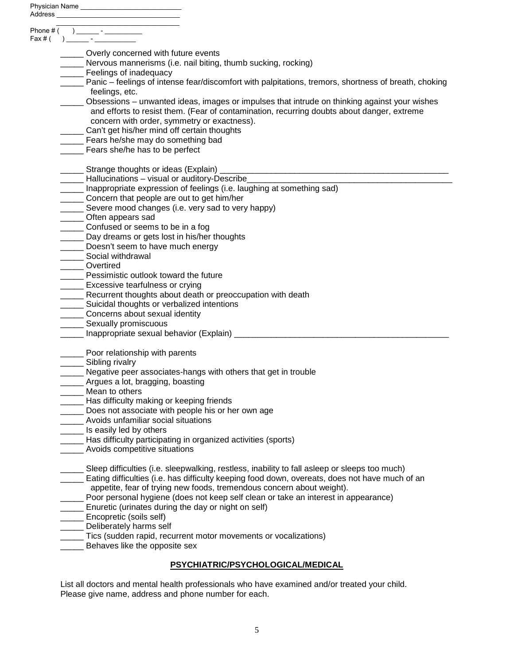|           | Phone $\#\overline{(\ )\ \_\_\_\_\_\_}$                                                                      |
|-----------|--------------------------------------------------------------------------------------------------------------|
| Fax $#$ ( |                                                                                                              |
|           |                                                                                                              |
|           | ____ Overly concerned with future events<br>__ Nervous mannerisms (i.e. nail biting, thumb sucking, rocking) |
|           | __ Feelings of inadequacy                                                                                    |
|           | Panic – feelings of intense fear/discomfort with palpitations, tremors, shortness of breath, choking         |
|           | feelings, etc.                                                                                               |
|           | Obsessions – unwanted ideas, images or impulses that intrude on thinking against your wishes                 |
|           | and efforts to resist them. (Fear of contamination, recurring doubts about danger, extreme                   |
|           | concern with order, symmetry or exactness).                                                                  |
|           | _____ Can't get his/her mind off certain thoughts                                                            |
|           | ____ Fears he/she may do something bad                                                                       |
|           | Fears she/he has to be perfect                                                                               |
|           |                                                                                                              |
|           |                                                                                                              |
|           | --- Hallucinations - visual or auditory-Describe                                                             |
|           | Inappropriate expression of feelings (i.e. laughing at something sad)                                        |
|           | ______ Concern that people are out to get him/her                                                            |
|           | _____ Severe mood changes (i.e. very sad to very happy)                                                      |
|           | ______ Often appears sad                                                                                     |
|           | _______ Confused or seems to be in a fog<br>_____ Day dreams or gets lost in his/her thoughts                |
|           | _____ Doesn't seem to have much energy                                                                       |
|           | _______ Social withdrawal                                                                                    |
|           | ______ Overtired                                                                                             |
|           | Pessimistic outlook toward the future                                                                        |
|           | _____ Excessive tearfulness or crying                                                                        |
|           | ____ Recurrent thoughts about death or preoccupation with death                                              |
|           | __ Suicidal thoughts or verbalized intentions                                                                |
|           | ______ Concerns about sexual identity                                                                        |
|           | Sexually promiscuous                                                                                         |
|           | _____ Inappropriate sexual behavior (Explain) __________________________________                             |
|           |                                                                                                              |
|           | ____ Poor relationship with parents                                                                          |
|           | ______ Sibling rivalry                                                                                       |
|           | _____ Negative peer associates-hangs with others that get in trouble                                         |
|           | _ Argues a lot, bragging, boasting                                                                           |
|           | Mean to others                                                                                               |
|           | Has difficulty making or keeping friends                                                                     |
|           | Does not associate with people his or her own age                                                            |
|           | Avoids unfamiliar social situations                                                                          |
|           | ____ Is easily led by others                                                                                 |
|           | ____ Has difficulty participating in organized activities (sports)                                           |
|           | Avoids competitive situations                                                                                |
|           | Sleep difficulties (i.e. sleepwalking, restless, inability to fall asleep or sleeps too much)                |
|           | Eating difficulties (i.e. has difficulty keeping food down, overeats, does not have much of an               |
|           | appetite, fear of trying new foods, tremendous concern about weight).                                        |
|           | Poor personal hygiene (does not keep self clean or take an interest in appearance)                           |
|           | ____ Enuretic (urinates during the day or night on self)                                                     |
|           | __ Encopretic (soils self)                                                                                   |
|           | Deliberately harms self                                                                                      |
|           | __ Tics (sudden rapid, recurrent motor movements or vocalizations)                                           |
|           | Behaves like the opposite sex                                                                                |
|           |                                                                                                              |
|           | PSYCHIATRIC/PSYCHOLOGICAL/MEDICAL                                                                            |

List all doctors and mental health professionals who have examined and/or treated your child. Please give name, address and phone number for each.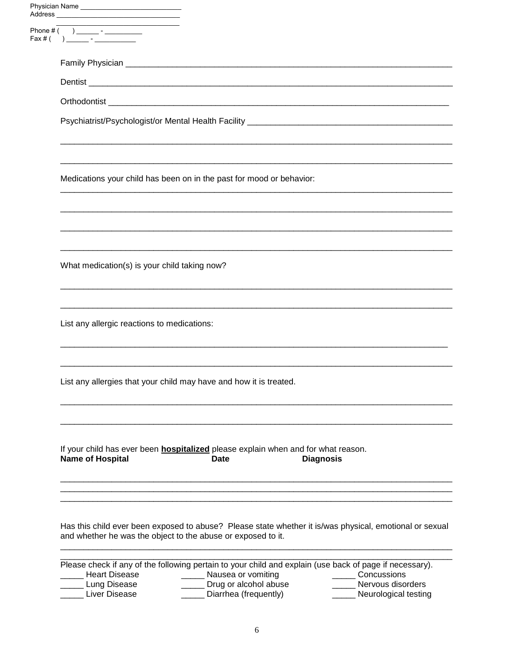| Physician Name                                                                                                                                                          |  |  |  |  |  |  |  |  |
|-------------------------------------------------------------------------------------------------------------------------------------------------------------------------|--|--|--|--|--|--|--|--|
|                                                                                                                                                                         |  |  |  |  |  |  |  |  |
|                                                                                                                                                                         |  |  |  |  |  |  |  |  |
|                                                                                                                                                                         |  |  |  |  |  |  |  |  |
|                                                                                                                                                                         |  |  |  |  |  |  |  |  |
|                                                                                                                                                                         |  |  |  |  |  |  |  |  |
| Medications your child has been on in the past for mood or behavior:                                                                                                    |  |  |  |  |  |  |  |  |
|                                                                                                                                                                         |  |  |  |  |  |  |  |  |
| What medication(s) is your child taking now?                                                                                                                            |  |  |  |  |  |  |  |  |
| List any allergic reactions to medications:                                                                                                                             |  |  |  |  |  |  |  |  |
| List any allergies that your child may have and how it is treated.                                                                                                      |  |  |  |  |  |  |  |  |
| If your child has ever been <b>hospitalized</b> please explain when and for what reason.<br><b>Name of Hospital</b><br><b>Date</b><br><b>Diagnosis</b>                  |  |  |  |  |  |  |  |  |
| Has this child ever been exposed to abuse? Please state whether it is/was physical, emotional or sexual<br>and whether he was the object to the abuse or exposed to it. |  |  |  |  |  |  |  |  |

Nausea or vomiting<br>Drug or alcohol abuse<br>Diarrhea (frequently) **Heart Disease** Concussions Nervous disorders Neurological testing